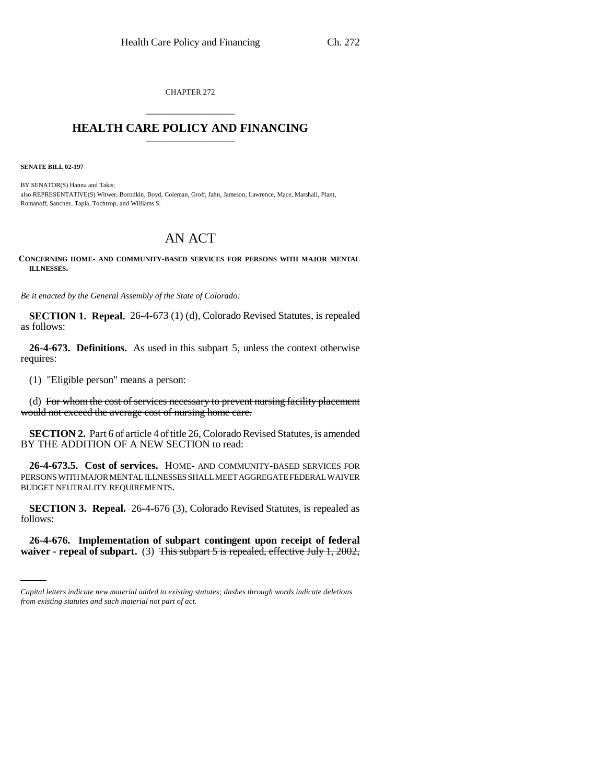CHAPTER 272 \_\_\_\_\_\_\_\_\_\_\_\_\_\_\_

## **HEALTH CARE POLICY AND FINANCING**

**SENATE BILL 02-197**

BY SENATOR(S) Hanna and Takis; also REPRESENTATIVE(S) Witwer, Borodkin, Boyd, Coleman, Groff, Jahn, Jameson, Lawrence, Mace, Marshall, Plant, Romanoff, Sanchez, Tapia, Tochtrop, and Williams S.

## AN ACT

**CONCERNING HOME- AND COMMUNITY-BASED SERVICES FOR PERSONS WITH MAJOR MENTAL ILLNESSES.**

*Be it enacted by the General Assembly of the State of Colorado:*

**SECTION 1. Repeal.** 26-4-673 (1) (d), Colorado Revised Statutes, is repealed as follows:

**26-4-673. Definitions.** As used in this subpart 5, unless the context otherwise requires:

(1) "Eligible person" means a person:

(d) For whom the cost of services necessary to prevent nursing facility placement would not exceed the average cost of nursing home care.

**SECTION 2.** Part 6 of article 4 of title 26, Colorado Revised Statutes, is amended BY THE ADDITION OF A NEW SECTION to read:

**26-4-673.5. Cost of services.** HOME- AND COMMUNITY-BASED SERVICES FOR PERSONS WITH MAJOR MENTAL ILLNESSES SHALL MEET AGGREGATE FEDERAL WAIVER BUDGET NEUTRALITY REQUIREMENTS.

**SECTION 3. Repeal.** 26-4-676 (3), Colorado Revised Statutes, is repealed as follows:

**26-4-676. Implementation of subpart contingent upon receipt of federal waiver - repeal of subpart.** (3) This subpart 5 is repealed, effective July 1, 2002,

*Capital letters indicate new material added to existing statutes; dashes through words indicate deletions from existing statutes and such material not part of act.*